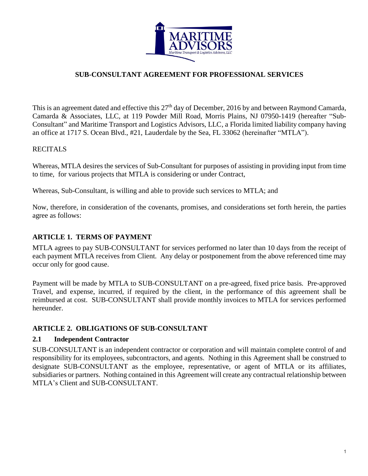

#### **SUB-CONSULTANT AGREEMENT FOR PROFESSIONAL SERVICES**

This is an agreement dated and effective this 27<sup>th</sup> day of December, 2016 by and between Raymond Camarda, Camarda & Associates, LLC, at 119 Powder Mill Road, Morris Plains, NJ 07950-1419 (hereafter "Sub-Consultant" and Maritime Transport and Logistics Advisors, LLC, a Florida limited liability company having an office at 1717 S. Ocean Blvd., #21, Lauderdale by the Sea, FL 33062 (hereinafter "MTLA").

#### **RECITALS**

Whereas, MTLA desires the services of Sub-Consultant for purposes of assisting in providing input from time to time, for various projects that MTLA is considering or under Contract,

Whereas, Sub-Consultant, is willing and able to provide such services to MTLA; and

Now, therefore, in consideration of the covenants, promises, and considerations set forth herein, the parties agree as follows:

#### **ARTICLE 1. TERMS OF PAYMENT**

MTLA agrees to pay SUB-CONSULTANT for services performed no later than 10 days from the receipt of each payment MTLA receives from Client. Any delay or postponement from the above referenced time may occur only for good cause.

Payment will be made by MTLA to SUB-CONSULTANT on a pre-agreed, fixed price basis. Pre-approved Travel, and expense, incurred, if required by the client, in the performance of this agreement shall be reimbursed at cost. SUB-CONSULTANT shall provide monthly invoices to MTLA for services performed hereunder.

#### **ARTICLE 2. OBLIGATIONS OF SUB-CONSULTANT**

#### **2.1 Independent Contractor**

SUB-CONSULTANT is an independent contractor or corporation and will maintain complete control of and responsibility for its employees, subcontractors, and agents. Nothing in this Agreement shall be construed to designate SUB-CONSULTANT as the employee, representative, or agent of MTLA or its affiliates, subsidiaries or partners. Nothing contained in this Agreement will create any contractual relationship between MTLA's Client and SUB-CONSULTANT.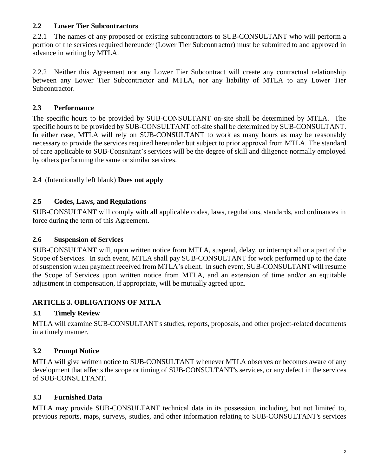# **2.2 Lower Tier Subcontractors**

2.2.1 The names of any proposed or existing subcontractors to SUB-CONSULTANT who will perform a portion of the services required hereunder (Lower Tier Subcontractor) must be submitted to and approved in advance in writing by MTLA.

2.2.2 Neither this Agreement nor any Lower Tier Subcontract will create any contractual relationship between any Lower Tier Subcontractor and MTLA, nor any liability of MTLA to any Lower Tier Subcontractor.

## **2.3 Performance**

The specific hours to be provided by SUB-CONSULTANT on-site shall be determined by MTLA. The specific hours to be provided by SUB-CONSULTANT off-site shall be determined by SUB-CONSULTANT. In either case, MTLA will rely on SUB-CONSULTANT to work as many hours as may be reasonably necessary to provide the services required hereunder but subject to prior approval from MTLA. The standard of care applicable to SUB-Consultant's services will be the degree of skill and diligence normally employed by others performing the same or similar services.

# **2.4** (Intentionally left blank) **Does not apply**

### **2.5 Codes, Laws, and Regulations**

SUB-CONSULTANT will comply with all applicable codes, laws, regulations, standards, and ordinances in force during the term of this Agreement.

### **2.6 Suspension of Services**

SUB-CONSULTANT will, upon written notice from MTLA, suspend, delay, or interrupt all or a part of the Scope of Services. In such event, MTLA shall pay SUB-CONSULTANT for work performed up to the date of suspension when payment received from MTLA's client. In such event, SUB-CONSULTANT will resume the Scope of Services upon written notice from MTLA, and an extension of time and/or an equitable adjustment in compensation, if appropriate, will be mutually agreed upon.

# **ARTICLE 3. OBLIGATIONS OF MTLA**

# **3.1 Timely Review**

MTLA will examine SUB-CONSULTANT's studies, reports, proposals, and other project-related documents in a timely manner.

# **3.2 Prompt Notice**

MTLA will give written notice to SUB-CONSULTANT whenever MTLA observes or becomes aware of any development that affects the scope or timing of SUB-CONSULTANT's services, or any defect in the services of SUB-CONSULTANT.

# **3.3 Furnished Data**

MTLA may provide SUB-CONSULTANT technical data in its possession, including, but not limited to, previous reports, maps, surveys, studies, and other information relating to SUB-CONSULTANT's services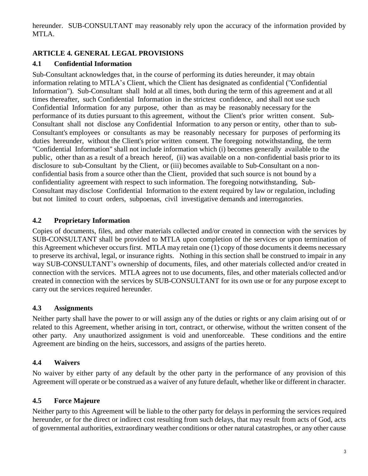hereunder. SUB-CONSULTANT may reasonably rely upon the accuracy of the information provided by MTLA.

## **ARTICLE 4. GENERAL LEGAL PROVISIONS**

### **4.1 Confidential Information**

Sub-Consultant acknowledges that, in the course of performing its duties hereunder, it may obtain information relating to MTLA's Client, which the Client has designated as confidential ("Confidential Information"). Sub-Consultant shall hold at all times, both during the term of this agreement and at all times thereafter, such Confidential Information in the strictest confidence, and shall not use such Confidential Information for any purpose, other than as may be reasonably necessary for the performance of its duties pursuant to this agreement, without the Client's prior written consent. Sub-Consultant shall not disclose any Confidential Information to any person or entity, other than to sub-Consultant's employees or consultants as may be reasonably necessary for purposes of performing its duties hereunder, without the Client's prior written consent. The foregoing notwithstanding, the term "Confidential Information" shall not include information which (i) becomes generally available to the public, other than as a result of a breach hereof, (ii) was available on a non-confidential basis prior to its disclosure to sub-Consultant by the Client, or (iii) becomes available to Sub-Consultant on a nonconfidential basis from a source other than the Client, provided that such source is not bound by a confidentiality agreement with respect to such information. The foregoing notwithstanding, Sub-Consultant may disclose Confidential Information to the extent required by law or regulation, including but not limited to court orders, subpoenas, civil investigative demands and interrogatories.

### **4.2 Proprietary Information**

Copies of documents, files, and other materials collected and/or created in connection with the services by SUB-CONSULTANT shall be provided to MTLA upon completion of the services or upon termination of this Agreement whichever occurs first. MTLA may retain one (1) copy of those documents it deems necessary to preserve its archival, legal, or insurance rights. Nothing in this section shall be construed to impair in any way SUB-CONSULTANT's ownership of documents, files, and other materials collected and/or created in connection with the services. MTLA agrees not to use documents, files, and other materials collected and/or created in connection with the services by SUB-CONSULTANT for its own use or for any purpose except to carry out the services required hereunder.

#### **4.3 Assignments**

Neither party shall have the power to or will assign any of the duties or rights or any claim arising out of or related to this Agreement, whether arising in tort, contract, or otherwise, without the written consent of the other party. Any unauthorized assignment is void and unenforceable. These conditions and the entire Agreement are binding on the heirs, successors, and assigns of the parties hereto.

### **4.4 Waivers**

No waiver by either party of any default by the other party in the performance of any provision of this Agreement will operate or be construed as a waiver of any future default, whether like or different in character.

### **4.5 Force Majeure**

Neither party to this Agreement will be liable to the other party for delays in performing the services required hereunder, or for the direct or indirect cost resulting from such delays, that may result from acts of God, acts of governmental authorities, extraordinary weather conditions or other natural catastrophes, or any other cause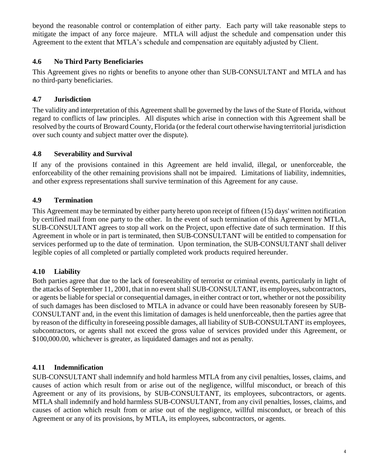beyond the reasonable control or contemplation of either party. Each party will take reasonable steps to mitigate the impact of any force majeure. MTLA will adjust the schedule and compensation under this Agreement to the extent that MTLA's schedule and compensation are equitably adjusted by Client.

### **4.6 No Third Party Beneficiaries**

This Agreement gives no rights or benefits to anyone other than SUB-CONSULTANT and MTLA and has no third-party beneficiaries.

#### **4.7 Jurisdiction**

The validity and interpretation of this Agreement shall be governed by the laws of the State of Florida, without regard to conflicts of law principles. All disputes which arise in connection with this Agreement shall be resolved by the courts of Broward County, Florida (or the federal court otherwise having territorial jurisdiction over such county and subject matter over the dispute).

#### **4.8 Severability and Survival**

If any of the provisions contained in this Agreement are held invalid, illegal, or unenforceable, the enforceability of the other remaining provisions shall not be impaired. Limitations of liability, indemnities, and other express representations shall survive termination of this Agreement for any cause.

### **4.9 Termination**

This Agreement may be terminated by either party hereto upon receipt of fifteen (15) days' written notification by certified mail from one party to the other. In the event of such termination of this Agreement by MTLA, SUB-CONSULTANT agrees to stop all work on the Project, upon effective date of such termination. If this Agreement in whole or in part is terminated, then SUB-CONSULTANT will be entitled to compensation for services performed up to the date of termination. Upon termination, the SUB-CONSULTANT shall deliver legible copies of all completed or partially completed work products required hereunder.

### **4.10 Liability**

Both parties agree that due to the lack of foreseeability of terrorist or criminal events, particularly in light of the attacks of September 11, 2001, that in no event shall SUB-CONSULTANT, its employees, subcontractors, or agents be liable for special or consequential damages, in either contract or tort, whether or not the possibility of such damages has been disclosed to MTLA in advance or could have been reasonably foreseen by SUB-CONSULTANT and, in the event this limitation of damages is held unenforceable, then the parties agree that by reason of the difficulty in foreseeing possible damages, all liability of SUB-CONSULTANT its employees, subcontractors, or agents shall not exceed the gross value of services provided under this Agreement, or \$100,000.00, whichever is greater, as liquidated damages and not as penalty.

### **4.11 Indemnification**

SUB-CONSULTANT shall indemnify and hold harmless MTLA from any civil penalties, losses, claims, and causes of action which result from or arise out of the negligence, willful misconduct, or breach of this Agreement or any of its provisions, by SUB-CONSULTANT, its employees, subcontractors, or agents. MTLA shall indemnify and hold harmless SUB-CONSULTANT, from any civil penalties, losses, claims, and causes of action which result from or arise out of the negligence, willful misconduct, or breach of this Agreement or any of its provisions, by MTLA, its employees, subcontractors, or agents.